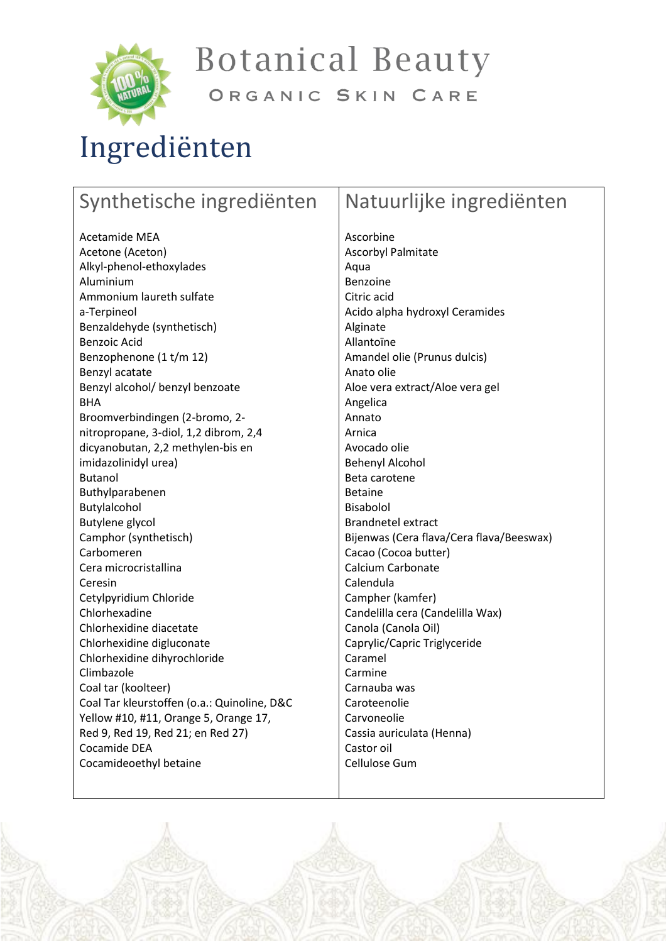

**Botanical Beauty** 

#### ORGANIC SKIN CARE

## Ingrediënten

#### Synthetische ingrediënten Acetamide MEA Acetone (Aceton) Alkyl-phenol-ethoxylades Aluminium Ammonium laureth sulfate a-Terpineol Benzaldehyde (synthetisch) Benzoic Acid Benzophenone (1 t/m 12) Benzyl acatate Benzyl alcohol/ benzyl benzoate BHA Broomverbindingen (2-bromo, 2 nitropropane, 3-diol, 1,2 dibrom, 2,4 dicyanobutan, 2,2 methylen-bis en imidazolinidyl urea) Butanol Buthylparabenen Butylalcohol Butylene glycol Camphor (synthetisch) Carbomeren Cera microcristallina Ceresin Cetylpyridium Chloride Chlorhexadine Chlorhexidine diacetate Chlorhexidine digluconate Chlorhexidine dihyrochloride Climbazole Coal tar (koolteer) Coal Tar kleurstoffen (o.a.: Quinoline, D&C Yellow #10, #11, Orange 5, Orange 17, Red 9, Red 19, Red 21; en Red 27) Cocamide DEA Cocamideoethyl betaine Natuurlijke ingrediënten Ascorbine Ascorbyl Palmitate Aqua Benzoine Citric acid Acido alpha hydroxyl Ceramides Alginate Allantoïne Amandel olie (Prunus dulcis) Anato olie Aloe vera extract/Aloe vera gel Angelica Annato Arnica Avocado olie Behenyl Alcohol Beta carotene Betaine Bisabolol Brandnetel extract Bijenwas (Cera flava/Cera flava/Beeswax) Cacao (Cocoa butter) Calcium Carbonate Calendula Campher (kamfer) Candelilla cera (Candelilla Wax) Canola (Canola Oil) Caprylic/Capric Triglyceride Caramel Carmine Carnauba was Caroteenolie Carvoneolie Cassia auriculata (Henna) Castor oil Cellulose Gum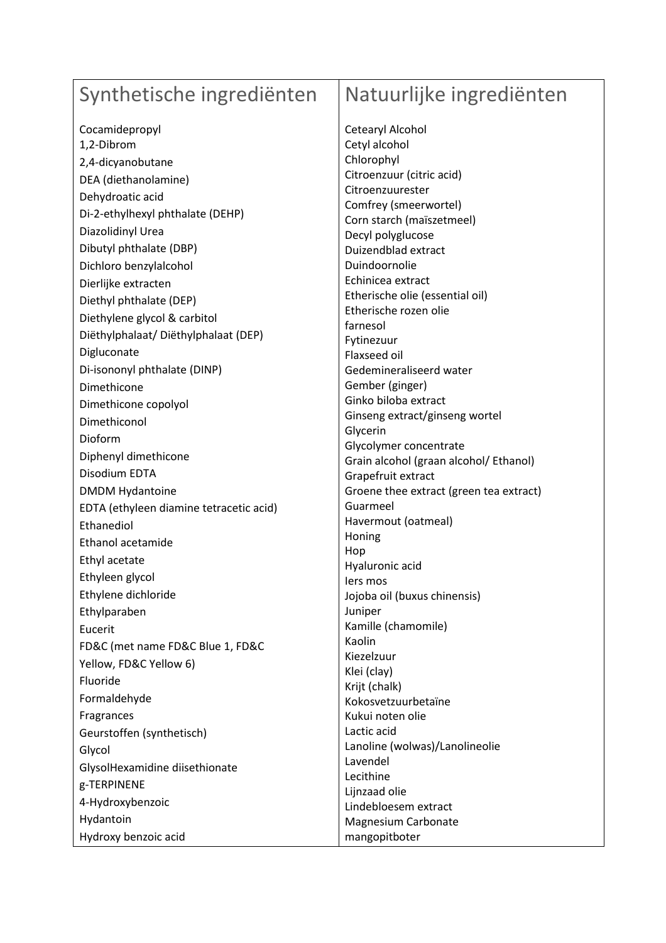#### Synthetische ingrediënten

Cocamidepropyl 1,2-Dibrom 2,4-dicyanobutane DEA (diethanolamine) Dehydroatic acid Di-2-ethylhexyl phthalate (DEHP) Diazolidinyl Urea Dibutyl phthalate (DBP) Dichloro benzylalcohol Dierlijke extracten Diethyl phthalate (DEP) Diethylene glycol & carbitol Diëthylphalaat/ Diëthylphalaat (DEP) Digluconate Di-isononyl phthalate (DINP) Dimethicone Dimethicone copolyol Dimethiconol Dioform Diphenyl dimethicone Disodium EDTA DMDM Hydantoine EDTA (ethyleen diamine tetracetic acid) Ethanediol Ethanol acetamide Ethyl acetate Ethyleen glycol Ethylene dichloride Ethylparaben Eucerit FD&C (met name FD&C Blue 1, FD&C Yellow, FD&C Yellow 6) Fluoride Formaldehyde Fragrances Geurstoffen (synthetisch) Glycol GlysolHexamidine diisethionate g-TERPINENE 4-Hydroxybenzoic Hydantoin Hydroxy benzoic acid

#### Natuurlijke ingrediënten

Cetearyl Alcohol Cetyl alcohol Chlorophyl Citroenzuur (citric acid) Citroenzuurester Comfrey (smeerwortel) Corn starch (maïszetmeel) Decyl polyglucose Duizendblad extract Duindoornolie Echinicea extract Etherische olie (essential oil) Etherische rozen olie farnesol Fytinezuur Flaxseed oil Gedemineraliseerd water Gember (ginger) Ginko biloba extract Ginseng extract/ginseng wortel Glycerin Glycolymer concentrate Grain alcohol (graan alcohol/ Ethanol) Grapefruit extract Groene thee extract (green tea extract) Guarmeel Havermout (oatmeal) Honing Hop Hyaluronic acid Iers mos Jojoba oil (buxus chinensis) Juniper Kamille (chamomile) Kaolin Kiezelzuur Klei (clay) Krijt (chalk) Kokosvetzuurbetaïne Kukui noten olie Lactic acid Lanoline (wolwas)/Lanolineolie Lavendel Lecithine Lijnzaad olie Lindebloesem extract Magnesium Carbonate mangopitboter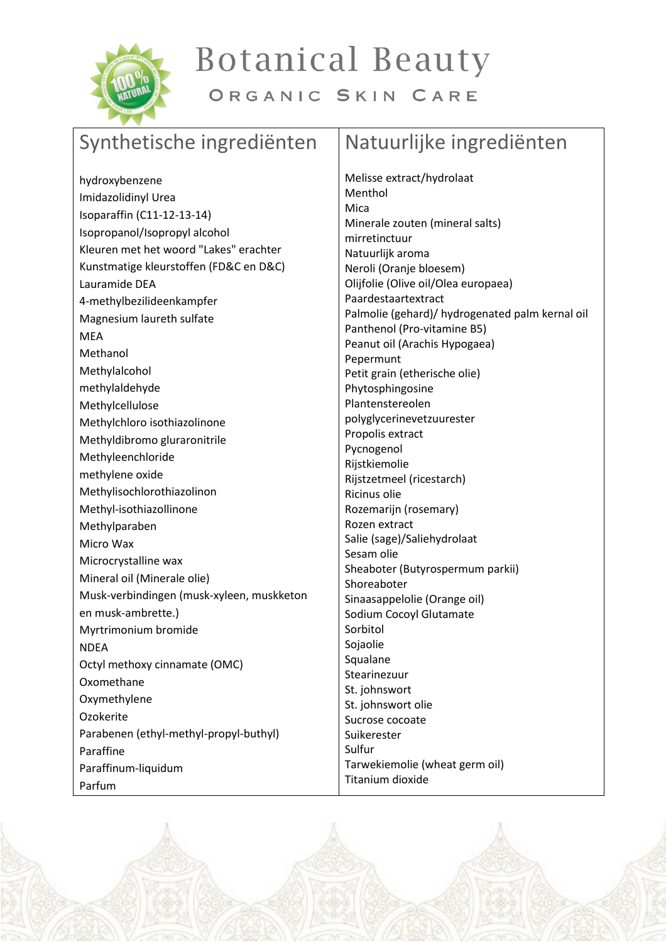

# **Botanical Beauty**

ORGANIC SKIN CARE

### Synthetische ingrediënten

#### Natuurlijke ingrediënten

hydroxybenzene Imidazolidinyl Urea Isoparaffin (C11-12-13-14) Isopropanol/Isopropyl alcohol Kleuren met het woord "Lakes" erachter Kunstmatige kleurstoffen (FD&C en D&C) Lauramide DEA 4-methylbezilideenkampfer Magnesium laureth sulfate MEA Methanol Methylalcohol methylaldehyde Methylcellulose Methylchloro isothiazolinone Methyldibromo gluraronitrile Methyleenchloride methylene oxide Methylisochlorothiazolinon Methyl-isothiazollinone Methylparaben Micro Wax Microcrystalline wax Mineral oil (Minerale olie) Musk-verbindingen (musk-xyleen, muskketon en musk-ambrette.) Myrtrimonium bromide NDEA Octyl methoxy cinnamate (OMC) Oxomethane **Oxymethylene** Ozokerite Parabenen (ethyl-methyl-propyl-buthyl) Paraffine Paraffinum-liquidum Parfum

Melisse extract/hydrolaat Menthol Mica Minerale zouten (mineral salts) mirretinctuur Natuurlijk aroma Neroli (Oranje bloesem) Olijfolie (Olive oil/Olea europaea) Paardestaartextract Palmolie (gehard)/ hydrogenated palm kernal oil Panthenol (Pro-vitamine B5) Peanut oil (Arachis Hypogaea) Pepermunt Petit grain (etherische olie) Phytosphingosine Plantenstereolen polyglycerinevetzuurester Propolis extract Pycnogenol Rijstkiemolie Rijstzetmeel (ricestarch) Ricinus olie Rozemarijn (rosemary) Rozen extract Salie (sage)/Saliehydrolaat Sesam olie Sheaboter (Butyrospermum parkii) Shoreaboter Sinaasappelolie (Orange oil) Sodium Cocoyl Glutamate Sorbitol Sojaolie Squalane Stearinezuur St. johnswort St. johnswort olie Sucrose cocoate Suikerester Sulfur Tarwekiemolie (wheat germ oil) Titanium dioxide